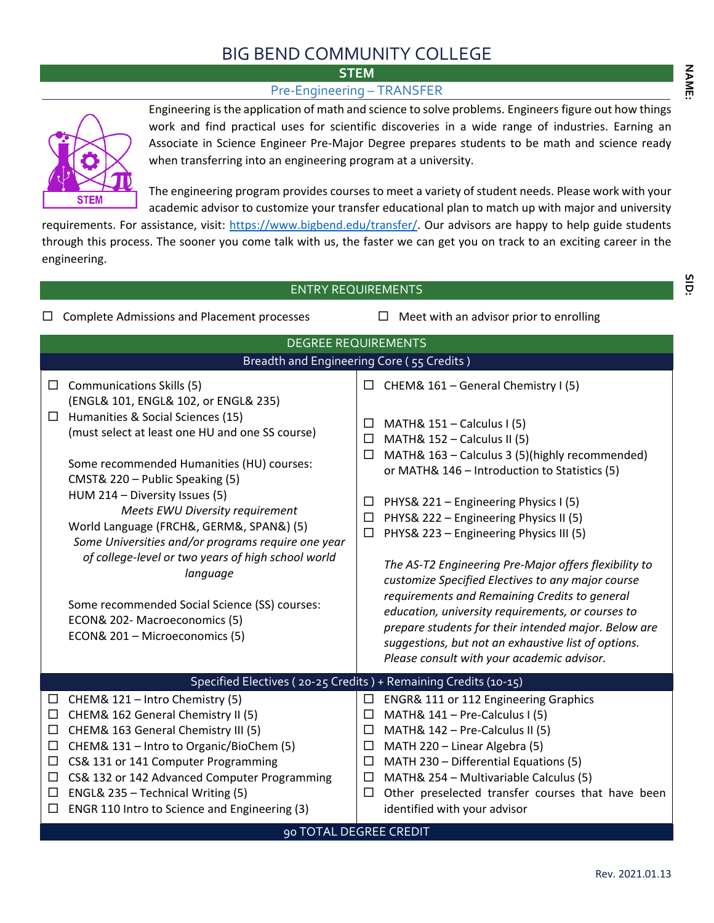## BIG BEND COMMUNITY COLLEGE

**STEM STEM** 

## Pre-Engineering – TRANSFER



Engineering is the application of math and science to solve problems. Engineers figure out how things work and find practical uses for scientific discoveries in a wide range of industries. Earning an Associate in Science Engineer Pre-Major Degree prepares students to be math and science ready when transferring into an engineering program at a university.

The engineering program provides courses to meet a variety of student needs. Please work with your academic advisor to customize your transfer educational plan to match up with major and university

requirements. For assistance, visit: [https://www.bigbend.edu/transfer/.](https://www.bigbend.edu/transfer/) Our advisors are happy to help guide students through this process. The sooner you come talk with us, the faster we can get you on track to an exciting career in the engineering.

ENTRY REQUIREMENTS  $\Box$  Complete Admissions and Placement processes  $\Box$  Meet with an advisor prior to enrolling DEGREE REQUIREMENTS Breadth and Engineering Core ( 55 Credits )  $\Box$  Communications Skills (5) (ENGL& 101, ENGL& 102, or ENGL& 235)  $\Box$  Humanities & Social Sciences (15) (must select at least one HU and one SS course) Some recommended Humanities (HU) courses: CMST& 220 – Public Speaking (5) HUM 214 – Diversity Issues (5) *Meets EWU Diversity requirement* World Language (FRCH&, GERM&, SPAN&) (5) *Some Universities and/or programs require one year of college-level or two years of high school world language* Some recommended Social Science (SS) courses: ECON& 202- Macroeconomics (5) ECON& 201 – Microeconomics (5)  $\Box$  CHEM& 161 – General Chemistry I (5)  $\Box$  MATH& 151 – Calculus I (5)  $\Box$  MATH& 152 – Calculus II (5)  $\Box$  MATH& 163 – Calculus 3 (5)(highly recommended) or MATH& 146 – Introduction to Statistics (5)  $\Box$  PHYS& 221 – Engineering Physics I (5)  $\Box$  PHYS& 222 – Engineering Physics II (5)  $\Box$  PHYS& 223 – Engineering Physics III (5) *The AS-T2 Engineering Pre-Major offers flexibility to customize Specified Electives to any major course requirements and Remaining Credits to general education, university requirements, or courses to prepare students for their intended major. Below are suggestions, but not an exhaustive list of options. Please consult with your academic advisor.*  Specified Electives ( 20-25 Credits ) + Remaining Credits (10-15)  $\Box$  CHEM& 121 – Intro Chemistry (5)  $\Box$  CHEM& 162 General Chemistry II (5)  $\Box$  CHEM& 163 General Chemistry III (5)  $\Box$  CHEM& 131 – Intro to Organic/BioChem (5)  $\Box$  CS& 131 or 141 Computer Programming  $\Box$  CS& 132 or 142 Advanced Computer Programming  $\Box$  ENGL& 235 – Technical Writing (5)  $\Box$  ENGR 110 Intro to Science and Engineering (3)  $\square$  ENGR& 111 or 112 Engineering Graphics  $\Box$  MATH& 141 – Pre-Calculus I (5)  $\Box$  MATH& 142 – Pre-Calculus II (5)  $\Box$  MATH 220 – Linear Algebra (5)  $\Box$  MATH 230 – Differential Equations (5)  $\Box$  MATH& 254 – Multivariable Calculus (5)  $\Box$  Other preselected transfer courses that have been identified with your advisor 90 TOTAL DEGREE CREDIT

Ξ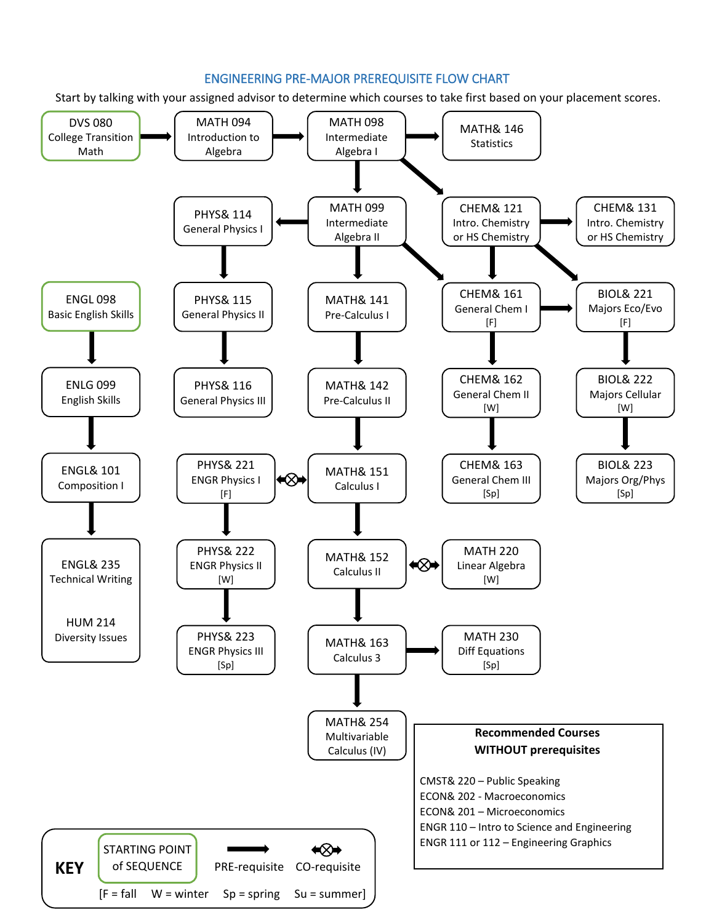## ENGINEERING PRE-MAJOR PREREQUISITE FLOW CHART

Start by talking with your assigned advisor to determine which courses to take first based on your placement scores.

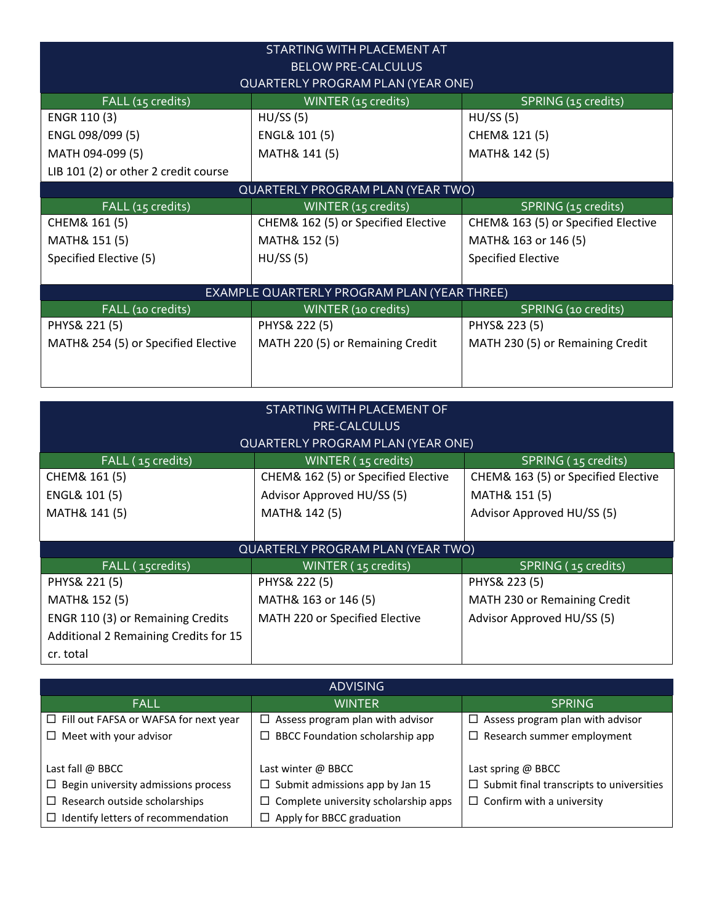| STARTING WITH PLACEMENT AT<br><b>BELOW PRE-CALCULUS</b>         |                                             |                                     |  |  |  |  |
|-----------------------------------------------------------------|---------------------------------------------|-------------------------------------|--|--|--|--|
|                                                                 | <b>QUARTERLY PROGRAM PLAN (YEAR ONE)</b>    |                                     |  |  |  |  |
| FALL (15 credits)<br>WINTER (15 credits)<br>SPRING (15 credits) |                                             |                                     |  |  |  |  |
| ENGR 110 (3)                                                    | HU/SS(5)                                    | HU/SS(5)                            |  |  |  |  |
| ENGL 098/099 (5)                                                | ENGL& 101 (5)                               | CHEM& 121 (5)                       |  |  |  |  |
| MATH 094-099 (5)                                                | MATH& 141 (5)                               | MATH& 142 (5)                       |  |  |  |  |
| LIB 101 (2) or other 2 credit course                            |                                             |                                     |  |  |  |  |
|                                                                 | QUARTERLY PROGRAM PLAN (YEAR TWO)           |                                     |  |  |  |  |
| FALL (15 credits)                                               | WINTER (15 credits)                         | SPRING (15 credits)                 |  |  |  |  |
| CHEM& 161 (5)                                                   | CHEM& 162 (5) or Specified Elective         | CHEM& 163 (5) or Specified Elective |  |  |  |  |
| MATH& 151 (5)                                                   | MATH& 152 (5)                               | MATH& 163 or 146 (5)                |  |  |  |  |
| Specified Elective (5)                                          | HU/SS(5)                                    | <b>Specified Elective</b>           |  |  |  |  |
|                                                                 |                                             |                                     |  |  |  |  |
|                                                                 | EXAMPLE QUARTERLY PROGRAM PLAN (YEAR THREE) |                                     |  |  |  |  |
| FALL (10 credits)                                               | WINTER (10 credits)                         | SPRING (10 credits)                 |  |  |  |  |
| PHYS& 221 (5)                                                   | PHYS& 222 (5)                               | PHYS& 223 (5)                       |  |  |  |  |
| MATH& 254 (5) or Specified Elective                             | MATH 220 (5) or Remaining Credit            | MATH 230 (5) or Remaining Credit    |  |  |  |  |
|                                                                 |                                             |                                     |  |  |  |  |
|                                                                 |                                             |                                     |  |  |  |  |

| STARTING WITH PLACEMENT OF<br><b>PRE-CALCULUS</b><br><b>QUARTERLY PROGRAM PLAN (YEAR ONE)</b> |                                     |                                     |  |  |  |
|-----------------------------------------------------------------------------------------------|-------------------------------------|-------------------------------------|--|--|--|
| FALL (15 credits)                                                                             | WINTER (15 credits)                 | SPRING (15 credits)                 |  |  |  |
| CHEM& 161 (5)                                                                                 | CHEM& 162 (5) or Specified Elective | CHEM& 163 (5) or Specified Elective |  |  |  |
| ENGL& 101 (5)                                                                                 | Advisor Approved HU/SS (5)          | MATH& 151 (5)                       |  |  |  |
| MATH& 141 (5)                                                                                 | MATH& 142 (5)                       | Advisor Approved HU/SS (5)          |  |  |  |
|                                                                                               |                                     |                                     |  |  |  |
|                                                                                               | QUARTERLY PROGRAM PLAN (YEAR TWO)   |                                     |  |  |  |
| FALL (15credits)                                                                              | WINTER (15 credits)                 | SPRING (15 credits)                 |  |  |  |
| PHYS& 221 (5)                                                                                 | PHYS& 222 (5)                       | PHYS& 223 (5)                       |  |  |  |
| MATH& 152 (5)                                                                                 | MATH& 163 or 146 (5)                | MATH 230 or Remaining Credit        |  |  |  |
| ENGR 110 (3) or Remaining Credits                                                             | MATH 220 or Specified Elective      | Advisor Approved HU/SS (5)          |  |  |  |
| Additional 2 Remaining Credits for 15                                                         |                                     |                                     |  |  |  |
| cr. total                                                                                     |                                     |                                     |  |  |  |

| <b>ADVISING</b>                                                         |                                             |                                                 |  |  |  |  |
|-------------------------------------------------------------------------|---------------------------------------------|-------------------------------------------------|--|--|--|--|
| <b>FALL</b>                                                             | <b>WINTER</b>                               | <b>SPRING</b>                                   |  |  |  |  |
| $\Box$ Fill out FAFSA or WAFSA for next year                            | $\Box$ Assess program plan with advisor     | Assess program plan with advisor<br>$\Box$      |  |  |  |  |
| $\Box$ BBCC Foundation scholarship app<br>$\Box$ Meet with your advisor |                                             | $\Box$ Research summer employment               |  |  |  |  |
|                                                                         |                                             |                                                 |  |  |  |  |
| Last fall $\omega$ BBCC                                                 | Last winter $\omega$ BBCC                   | Last spring @ BBCC                              |  |  |  |  |
| $\Box$ Begin university admissions process                              | $\Box$ Submit admissions app by Jan 15      | $\Box$ Submit final transcripts to universities |  |  |  |  |
| $\Box$ Research outside scholarships                                    | $\Box$ Complete university scholarship apps | $\Box$ Confirm with a university                |  |  |  |  |
| Identify letters of recommendation<br>$\Box$                            | $\Box$ Apply for BBCC graduation            |                                                 |  |  |  |  |